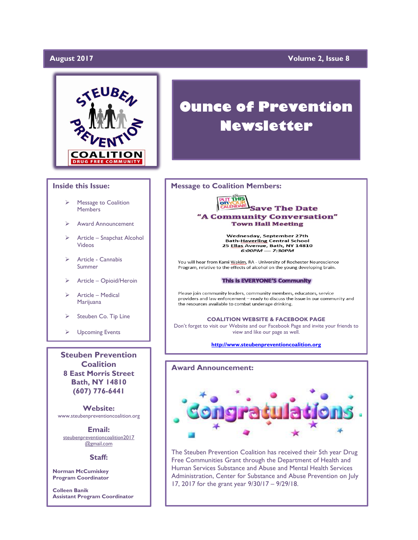# **August 2017**

# **Yolume 2, Issue 8**



#### **Inside this Issue:**

- Message to Coalition **Members**
- Award Announcement
- ➢ Article Snapchat Alcohol Videos
- ➢ Article Cannabis Summer
- ➢ Article Opioid/Heroin
- ➢ Article Medical Marijuana
- Steuben Co. Tip Line
- ➢ Upcoming Events

**Steuben Prevention Coalition 8 East Morris Street Bath, NY 14810 (607) 776-6441**

**Website:**  www.steubenpreventioncoalition.org

**Email:**  steubenpreventioncoalition2017 @gmail.com

#### **Staff:**

**Norman McCumiskey Program Coordinator**

**Colleen Banik Assistant Program Coordinator**

# **Ounce of Prevention Newsletter**

### **Message to Coalition Members:**



Wednesday, September 27th Bath-Haverling Central School<br>25 Ellas Avenue, Bath, NY 14810<br>6:00PM — 7:30PM

You will hear from Kami Wakim, RA - University of Rochester Neuroscience Program, relative to the effects of alcohol on the young developing brain.

#### This is EVERYONE'S Community

Please join community leaders, community members, educators, service providers and law enforcement - ready to discuss the issue in our community and the resources available to combat underage drinking.

**COALITION WEBSITE & FACEBOOK PAGE** Don't forget to visit our Website and our Facebook Page and invite your friends to view and like our page as well.

**[http://www.steubenpreventioncoalition.org](http://www.steubenpreventioncoalition.org/)**

# **Award Announcement:**



The Steuben Prevention Coalition has received their 5th year Drug Free Communities Grant through the Department of Health and Human Services Substance and Abuse and Mental Health Services Administration, Center for Substance and Abuse Prevention on July 17, 2017 for the grant year 9/30/17 – 9/29/18.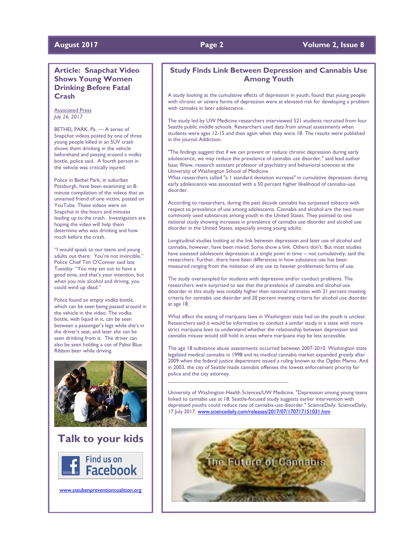# **August 2017 Page 2 Volume 2, Issue 8**

# **Article: Snapchat Video Shows Young Women Drinking Before Fatal Crash**

Associated Press *July 26, 2017*

BETHEL PARK, Pa. — A series of Snapchat videos posted by one of three young people killed in an SUV crash shows them drinking in the vehicle beforehand and passing around a vodka bottle, police said. A fourth person in the vehicle was critically injured.

Police in Bethel Park, in suburban Pittsburgh, have been examining an 8 minute compilation of the videos that an unnamed friend of one victim, posted on YouTube. These videos were on Snapchat in the hours and minutes leading up to the crash. Investigators are hoping the video will help them determine who was drinking and how much before the crash.

"I would speak to our teens and young adults out there: You're not invincible," Police Chief Tim O'Conner said late Tuesday. "You may set out to have a good time, and that's your intention, but when you mix alcohol and driving, you could wind up dead."

Police found an empty vodka bottle, which can be seen being passed around in the vehicle in the video. The vodka bottle, with liquid in it, can be seen between a passenger's legs while she's in the driver's seat, and later she can be seen drinking from it. The driver can also be seen holding a can of Pabst Blue Ribbon beer while driving.





[www.steubenpreventioncoalition.org](http://www.steubenpreventioncoalition.org/)

# **Study Finds Link Between Depression and Cannabis Use Among Youth**

A study looking at the cumulative effects of depression in youth, found that young people with chronic or severe forms of depression were at elevated risk for developing a problem with cannabis in later adolescence.

The study led by UW Medicine researchers interviewed 521 students recruited from four Seattle public middle schools. Researchers used data from annual assessments when students were ages 12-15 and then again when they were 18. The results were published in the journal Addiction.

"The findings suggest that if we can prevent or reduce chronic depression during early adolescence, we may reduce the prevalence of cannabis use disorder," said lead author Isaac Rhew, research assistant professor of psychiatry and behavioral sciences at the University of Washington School of Medicine.

What researchers called "a 1 standard deviation increase" in cumulative depression during early adolescence was associated with a 50 percent higher likelihood of cannabis-use disorder.

According to researchers, during the past decade cannabis has surpassed tobacco with respect to prevalence of use among adolescents. Cannabis and alcohol are the two most commonly used substances among youth in the United States. They pointed to one national study showing increases in prevalence of cannabis use disorder and alcohol use disorder in the United States, especially among young adults.

Longitudinal studies looking at the link between depression and later use of alcohol and cannabis, however, have been mixed. Some show a link. Others don't. But most studies have assessed adolescent depression at a single point in time -- not cumulatively, said the researchers. Further, there have been differences in how substance use has been measured ranging from the initiation of any use to heavier problematic forms of use.

The study oversampled for students with depressive and/or conduct problems. The researchers were surprised to see that the prevalence of cannabis and alcohol use disorder in this study was notably higher than national estimates with 21 percent meeting criteria for cannabis use disorder and 20 percent meeting criteria for alcohol use disorder at age 18.

What effect the easing of marijuana laws in Washington state had on the youth is unclear. Researchers said it would be informative to conduct a similar study in a state with more strict marijuana laws to understand whether the relationship between depression and cannabis misuse would still hold in areas where marijuana may be less accessible.

The age 18 substance abuse assessments occurred between 2007-2010. Washington state legalized medical cannabis in 1998 and its medical cannabis market expanded greatly after 2009 when the federal justice department issued a ruling known as the Ogden Memo. And in 2003, the city of Seattle made cannabis offenses the lowest enforcement priority for police and the city attorney.

 $\mathcal{L}_\text{max}$  and  $\mathcal{L}_\text{max}$  and  $\mathcal{L}_\text{max}$  and  $\mathcal{L}_\text{max}$ 

University of Washington Health Sciences/UW Medicine. "Depression among young teens linked to cannabis use at 18: Seattle-focused study suggests earlier intervention with depressed youths could reduce rate of cannabis-use disorder." ScienceDaily. ScienceDaily, 17 July 2017[. www.sciencedaily.com/releases/2017/07/170717151031.htm](http://www.sciencedaily.com/releases/2017/07/170717151031.htm)

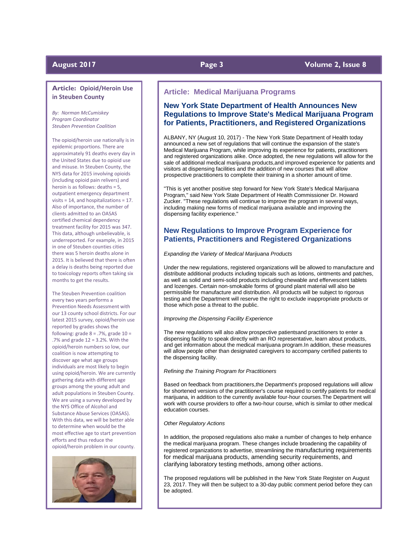## **Article: Opioid/Heroin Use in Steuben County**

*By: Norman McCumiskey Program Coordinator Steuben Prevention Coalition*

The opioid/heroin use nationally is in epidemic proportions. There are approximately 91 deaths every day in the United States due to opioid use and misuse. In Steuben County, the NYS data for 2015 involving opioids (including opioid pain relivers) and heroin is as follows: deaths = 5, outpatient emergency department visits = 14, and hospitalizations = 17. Also of importance, the number of clients admitted to an OASAS certified chemical dependency treatment facility for 2015 was 347. This data, although unbelievable, is underreported. For example, in 2015 in one of Steuben counties cities there was 5 heroin deaths alone in 2015. It is believed that there is often a delay is deaths being reported due to toxicology reports often taking six months to get the results.

The Steuben Prevention coalition every two years performs a Prevention Needs Assessment with our 13 county school districts. For our latest 2015 survey, opioid/heroin use reported by grades shows the following: grade  $8 = .7\%$ , grade  $10 =$ .7% and grade 12 = 3.2%. With the opioid/heroin numbers so low, our coalition is now attempting to discover age what age groups individuals are most likely to begin using opioid/heroin. We are currently gathering data with different age groups among the young adult and adult populations in Steuben County. We are using a survey developed by the NYS Office of Alcohol and Substance Abuse Services (OASAS). With this data, we will be better able to determine when would be the most effective age to start prevention efforts and thus reduce the opioid/heroin problem in our county.



### **August 2017 Page 3 Volume 2, Issue 8**

## **Article: Medical Marijuana Programs**

# **New York State Department of Health Announces New Regulations to Improve State's Medical Marijuana Program for Patients, Practitioners, and Registered Organizations**

ALBANY, NY (August 10, 2017) - The New York State Department of Health today announced a new set of regulations that will continue the expansion of the state's Medical Marijuana Program, while improving its experience for patients, practitioners and registered organizations alike. Once adopted, the new regulations will allow for the sale of additional medical marijuana products,and improved experience for patients and visitors at dispensing facilities and the addition of new courses that will allow prospective practitioners to complete their training in a shorter amount of time.

"This is yet another positive step forward for New York State's Medical Marijuana Program," said New York State Department of Health Commissioner Dr. Howard Zucker. "These regulations will continue to improve the program in several ways, including making new forms of medical marijuana available and improving the dispensing facility experience."

# **New Regulations to Improve Program Experience for Patients, Practitioners and Registered Organizations**

#### *Expanding the Variety of Medical Marijuana Products*

Under the new regulations, registered organizations will be allowed to manufacture and distribute additional products including topicals such as lotions, ointments and patches, as well as solid and semi-solid products including chewable and effervescent tablets and lozenges. Certain non-smokable forms of ground plant material will also be permissible for manufacture and distribution. All products will be subject to rigorous testing and the Department will reserve the right to exclude inappropriate products or those which pose a threat to the public.

### *Improving the Dispensing Facility Experience*

The new regulations will also allow prospective patientsand practitioners to enter a dispensing facility to speak directly with an RO representative, learn about products, and get information about the medical marijuana program.In addition, these measures will allow people other than designated caregivers to accompany certified patients to the dispensing facility.

#### *Refining the Training Program for Practitioners*

Based on feedback from practitioners,the Department's proposed regulations will allow for shortened versions of the practitioner's course required to certify patients for medical marijuana, in addition to the currently available four-hour courses.The Department will work with course providers to offer a two-hour course, which is similar to other medical education courses.

#### *Other Regulatory Actions*

In addition, the proposed regulations also make a number of changes to help enhance the medical marijuana program. These changes include broadening the capability of registered organizations to advertise, streamlining the manufacturing requirements for medical marijuana products, amending security requirements, and clarifying laboratory testing methods, among other actions.

The proposed regulations will be published in the New York State Register on August 23, 2017. They will then be subject to a 30-day public comment period before they can be adopted.